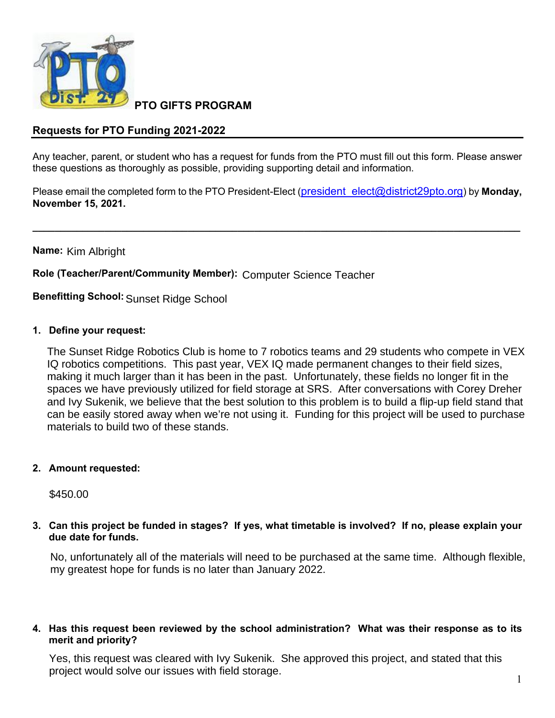

**PTO GIFTS PROGRAM**

## **Requests for PTO Funding 2021-2022**

Any teacher, parent, or student who has a request for funds from the PTO must fill out this form. Please answer these questions as thoroughly as possible, providing supporting detail and information.

Please email the completed form to the PTO President-Elect (president elect@district29pto.org) by **Monday**, **November 15, 2021.**

**\_\_\_\_\_\_\_\_\_\_\_\_\_\_\_\_\_\_\_\_\_\_\_\_\_\_\_\_\_\_\_\_\_\_\_\_\_\_\_\_\_\_\_\_\_\_\_\_\_\_\_\_\_\_\_\_\_\_\_\_\_\_\_\_\_\_\_\_\_\_\_\_\_\_\_\_\_\_\_\_\_\_\_\_\_\_\_\_**

**Name:**  Kim Albright

**Role (Teacher/Parent/Community Member):** Computer Science Teacher

**Benefitting School:** Sunset Ridge School

**1. Define your request:**

The Sunset Ridge Robotics Club is home to 7 robotics teams and 29 students who compete in VEX IQ robotics competitions. This past year, VEX IQ made permanent changes to their field sizes, making it much larger than it has been in the past. Unfortunately, these fields no longer fit in the spaces we have previously utilized for field storage at SRS. After conversations with Corey Dreher and Ivy Sukenik, we believe that the best solution to this problem is to build a flip-up field stand that can be easily stored away when we're not using it. Funding for this project will be used to purchase materials to build two of these stands.

**2. Amount requested:**

\$450.00

**3. Can this project be funded in stages? If yes, what timetable is involved? If no, please explain your due date for funds.**

No, unfortunately all of the materials will need to be purchased at the same time. Although flexible, my greatest hope for funds is no later than January 2022.

**4. Has this request been reviewed by the school administration? What was their response as to its merit and priority?**

Yes, this request was cleared with Ivy Sukenik. She approved this project, and stated that this project would solve our issues with field storage.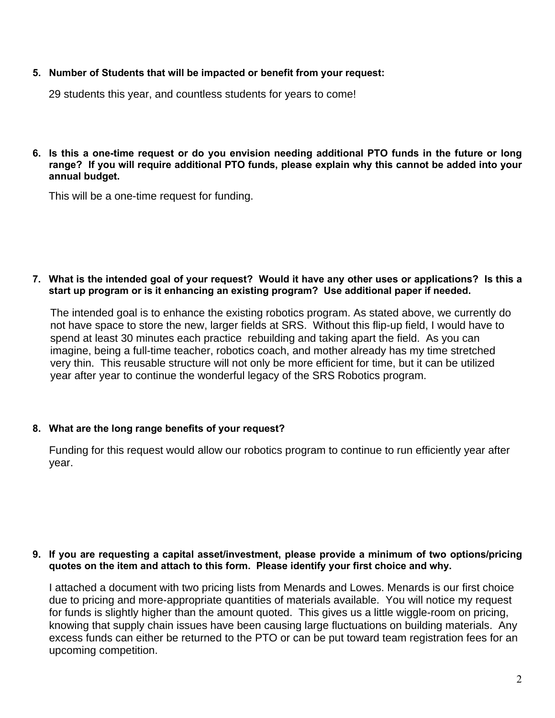**5. Number of Students that will be impacted or benefit from your request:**

29 students this year, and countless students for years to come!

6. Is this a one-time request or do you envision needing additional PTO funds in the future or long **range? If you will require additional PTO funds, please explain why this cannot be added into your annual budget.**

This will be a one-time request for funding.

## 7. What is the intended goal of your request? Would it have any other uses or applications? Is this a **start up program or is it enhancing an existing program? Use additional paper if needed.**

The intended goal is to enhance the existing robotics program. As stated above, we currently do not have space to store the new, larger fields at SRS. Without this flip-up field, I would have to spend at least 30 minutes each practice rebuilding and taking apart the field. As you can imagine, being a full-time teacher, robotics coach, and mother already has my time stretched very thin. This reusable structure will not only be more efficient for time, but it can be utilized year after year to continue the wonderful legacy of the SRS Robotics program.

## **8. What are the long range benefits of your request?**

Funding for this request would allow our robotics program to continue to run efficiently year after year.

### **9. If you are requesting a capital asset/investment, please provide a minimum of two options/pricing quotes on the item and attach to this form. Please identify your first choice and why.**

I attached a document with two pricing lists from Menards and Lowes. Menards is our first choice due to pricing and more-appropriate quantities of materials available. You will notice my request for funds is slightly higher than the amount quoted. This gives us a little wiggle-room on pricing, knowing that supply chain issues have been causing large fluctuations on building materials. Any excess funds can either be returned to the PTO or can be put toward team registration fees for an upcoming competition.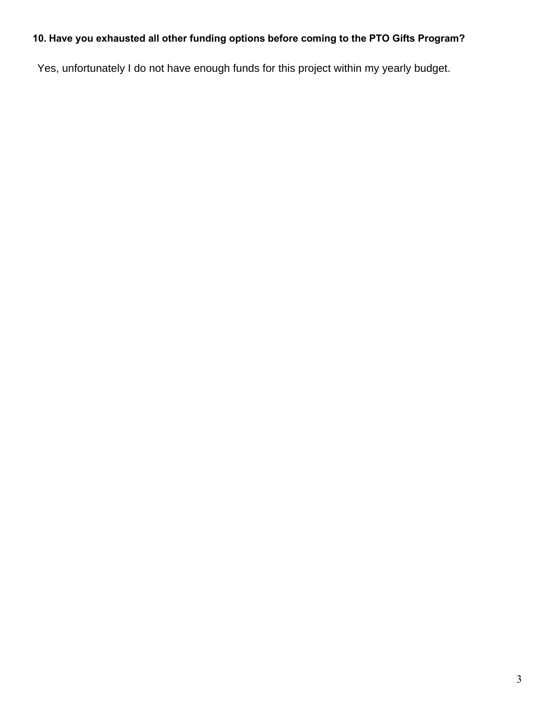# **10. Have you exhausted all other funding options before coming to the PTO Gifts Program?**

Yes, unfortunately I do not have enough funds for this project within my yearly budget.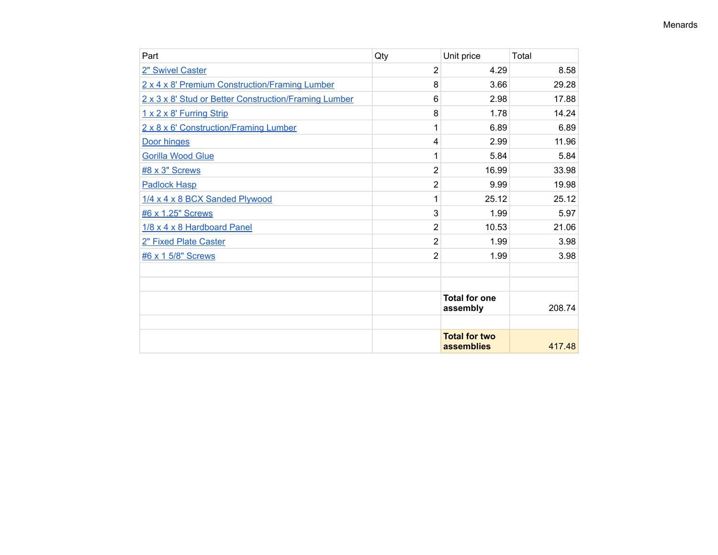| Part                                                  | Qty            | Unit price                         | Total  |
|-------------------------------------------------------|----------------|------------------------------------|--------|
| 2" Swivel Caster                                      | 2              | 4.29                               | 8.58   |
| 2 x 4 x 8' Premium Construction/Framing Lumber        | 8              | 3.66                               | 29.28  |
| 2 x 3 x 8' Stud or Better Construction/Framing Lumber | 6              | 2.98                               | 17.88  |
| 1 x 2 x 8' Furring Strip                              | 8              | 1.78                               | 14.24  |
| 2 x 8 x 6' Construction/Framing Lumber                | 1              | 6.89                               | 6.89   |
| Door hinges                                           | 4              | 2.99                               | 11.96  |
| <b>Gorilla Wood Glue</b>                              | 1              | 5.84                               | 5.84   |
| #8 x 3" Screws                                        | $\overline{2}$ | 16.99                              | 33.98  |
| <b>Padlock Hasp</b>                                   | 2              | 9.99                               | 19.98  |
| 1/4 x 4 x 8 BCX Sanded Plywood                        | 1              | 25.12                              | 25.12  |
| #6 x 1.25" Screws                                     | 3              | 1.99                               | 5.97   |
| 1/8 x 4 x 8 Hardboard Panel                           | $\overline{2}$ | 10.53                              | 21.06  |
| 2" Fixed Plate Caster                                 | 2              | 1.99                               | 3.98   |
| #6 x 1 5/8" Screws                                    | $\overline{2}$ | 1.99                               | 3.98   |
|                                                       |                |                                    |        |
|                                                       |                |                                    |        |
|                                                       |                | <b>Total for one</b><br>assembly   | 208.74 |
|                                                       |                |                                    |        |
|                                                       |                | <b>Total for two</b><br>assemblies | 417.48 |

#### Menards